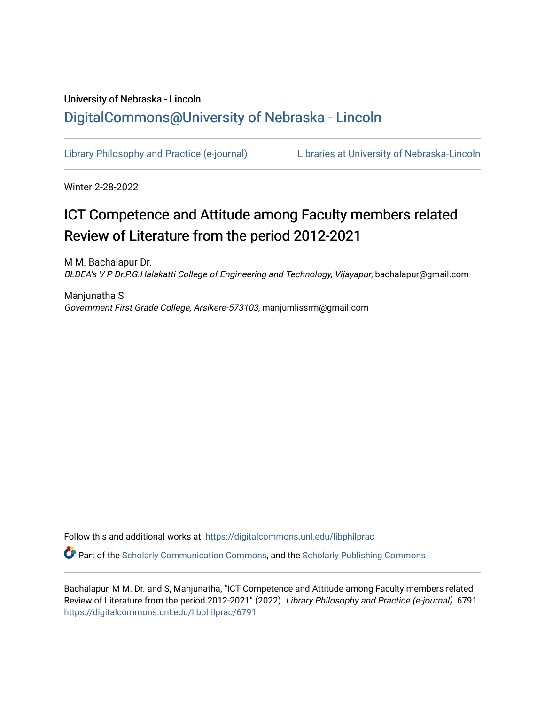# University of Nebraska - Lincoln [DigitalCommons@University of Nebraska - Lincoln](https://digitalcommons.unl.edu/)

[Library Philosophy and Practice \(e-journal\)](https://digitalcommons.unl.edu/libphilprac) [Libraries at University of Nebraska-Lincoln](https://digitalcommons.unl.edu/libraries) 

Winter 2-28-2022

# ICT Competence and Attitude among Faculty members related Review of Literature from the period 2012-2021

M M. Bachalapur Dr. BLDEA's V P Dr.P.G.Halakatti College of Engineering and Technology, Vijayapur, bachalapur@gmail.com

Manjunatha S Government First Grade College, Arsikere-573103, manjumlissrm@gmail.com

Follow this and additional works at: [https://digitalcommons.unl.edu/libphilprac](https://digitalcommons.unl.edu/libphilprac?utm_source=digitalcommons.unl.edu%2Flibphilprac%2F6791&utm_medium=PDF&utm_campaign=PDFCoverPages) 

 $\bullet$  Part of the [Scholarly Communication Commons,](http://network.bepress.com/hgg/discipline/1272?utm_source=digitalcommons.unl.edu%2Flibphilprac%2F6791&utm_medium=PDF&utm_campaign=PDFCoverPages) and the [Scholarly Publishing Commons](http://network.bepress.com/hgg/discipline/1273?utm_source=digitalcommons.unl.edu%2Flibphilprac%2F6791&utm_medium=PDF&utm_campaign=PDFCoverPages)

Bachalapur, M M. Dr. and S, Manjunatha, "ICT Competence and Attitude among Faculty members related Review of Literature from the period 2012-2021" (2022). Library Philosophy and Practice (e-journal). 6791. [https://digitalcommons.unl.edu/libphilprac/6791](https://digitalcommons.unl.edu/libphilprac/6791?utm_source=digitalcommons.unl.edu%2Flibphilprac%2F6791&utm_medium=PDF&utm_campaign=PDFCoverPages)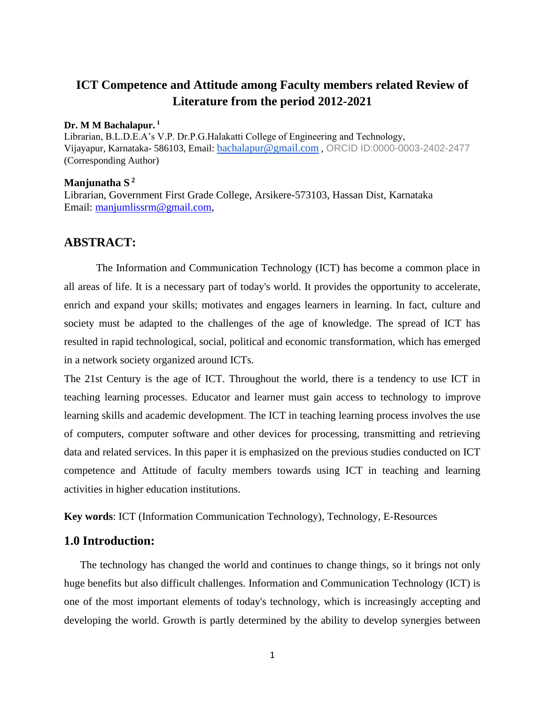## **ICT Competence and Attitude among Faculty members related Review of Literature from the period 2012-2021**

#### **Dr. M M Bachalapur. <sup>1</sup>**

Librarian, B.L.D.E.A's V.P. Dr.P.G.Halakatti College of Engineering and Technology, Vijayapur, Karnataka- 586103, Email: [bachalapur@gmail.com](mailto:bachalapur@gmail.com) , ORCID ID:0000-0003-2402-2477 (Corresponding Author)

#### **Manjunatha S <sup>2</sup>**

Librarian, Government First Grade College, Arsikere-573103, Hassan Dist, Karnataka Email: [manjumlissrm@gmail.com,](mailto:manjumlissrm@gmail.com)

#### **ABSTRACT:**

The Information and Communication Technology (ICT) has become a common place in all areas of life. It is a necessary part of today's world. It provides the opportunity to accelerate, enrich and expand your skills; motivates and engages learners in learning. In fact, culture and society must be adapted to the challenges of the age of knowledge. The spread of ICT has resulted in rapid technological, social, political and economic transformation, which has emerged in a network society organized around ICTs.

The 21st Century is the age of ICT. Throughout the world, there is a tendency to use ICT in teaching learning processes. Educator and learner must gain access to technology to improve learning skills and academic development. The ICT in teaching learning process involves the use of computers, computer software and other devices for processing, transmitting and retrieving data and related services. In this paper it is emphasized on the previous studies conducted on ICT competence and Attitude of faculty members towards using ICT in teaching and learning activities in higher education institutions.

**Key words**: ICT (Information Communication Technology), Technology, E-Resources

#### **1.0 Introduction:**

The technology has changed the world and continues to change things, so it brings not only huge benefits but also difficult challenges. Information and Communication Technology (ICT) is one of the most important elements of today's technology, which is increasingly accepting and developing the world. Growth is partly determined by the ability to develop synergies between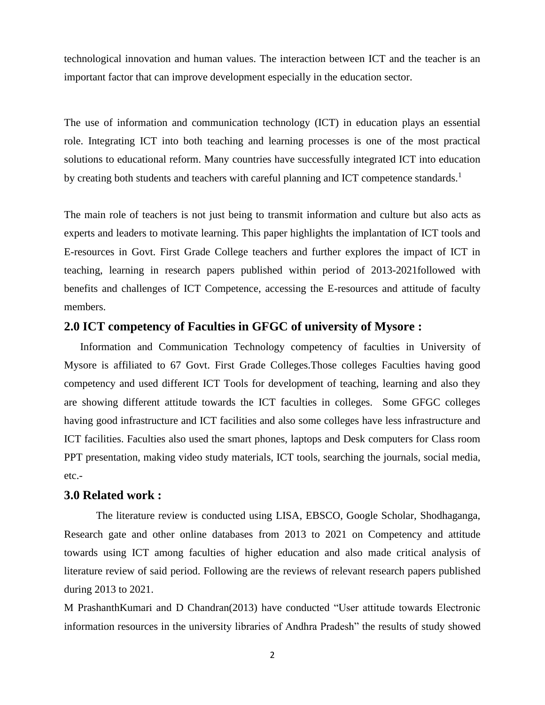technological innovation and human values. The interaction between ICT and the teacher is an important factor that can improve development especially in the education sector.

The use of information and communication technology (ICT) in education plays an essential role. Integrating ICT into both teaching and learning processes is one of the most practical solutions to educational reform. Many countries have successfully integrated ICT into education by creating both students and teachers with careful planning and ICT competence standards.<sup>1</sup>

The main role of teachers is not just being to transmit information and culture but also acts as experts and leaders to motivate learning. This paper highlights the implantation of ICT tools and E-resources in Govt. First Grade College teachers and further explores the impact of ICT in teaching, learning in research papers published within period of 2013-2021followed with benefits and challenges of ICT Competence, accessing the E-resources and attitude of faculty members.

#### **2.0 ICT competency of Faculties in GFGC of university of Mysore :**

Information and Communication Technology competency of faculties in University of Mysore is affiliated to 67 Govt. First Grade Colleges.Those colleges Faculties having good competency and used different ICT Tools for development of teaching, learning and also they are showing different attitude towards the ICT faculties in colleges. Some GFGC colleges having good infrastructure and ICT facilities and also some colleges have less infrastructure and ICT facilities. Faculties also used the smart phones, laptops and Desk computers for Class room PPT presentation, making video study materials, ICT tools, searching the journals, social media, etc.-

#### **3.0 Related work :**

The literature review is conducted using LISA, EBSCO, Google Scholar, Shodhaganga, Research gate and other online databases from 2013 to 2021 on Competency and attitude towards using ICT among faculties of higher education and also made critical analysis of literature review of said period. Following are the reviews of relevant research papers published during 2013 to 2021.

M PrashanthKumari and D Chandran(2013) have conducted "User attitude towards Electronic information resources in the university libraries of Andhra Pradesh" the results of study showed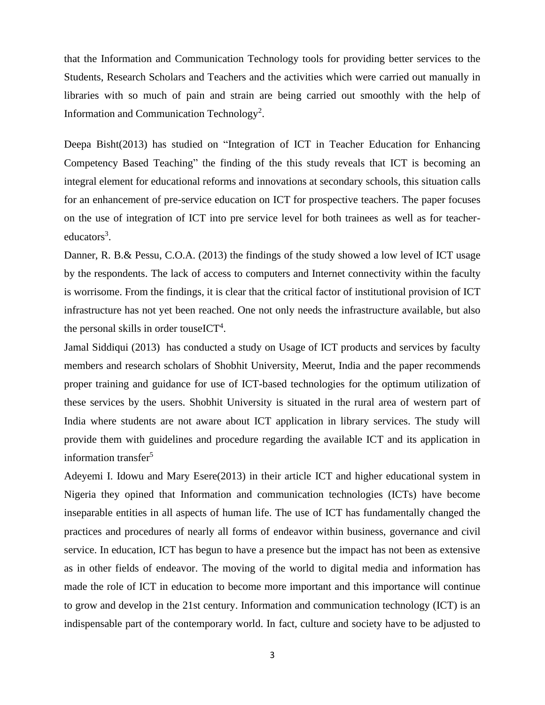that the Information and Communication Technology tools for providing better services to the Students, Research Scholars and Teachers and the activities which were carried out manually in libraries with so much of pain and strain are being carried out smoothly with the help of Information and Communication Technology<sup>2</sup>.

Deepa Bisht(2013) has studied on "Integration of ICT in Teacher Education for Enhancing Competency Based Teaching" the finding of the this study reveals that ICT is becoming an integral element for educational reforms and innovations at secondary schools, this situation calls for an enhancement of pre-service education on ICT for prospective teachers. The paper focuses on the use of integration of ICT into pre service level for both trainees as well as for teachereducators<sup>3</sup>.

Danner, R. B.& Pessu, C.O.A. (2013) the findings of the study showed a low level of ICT usage by the respondents. The lack of access to computers and Internet connectivity within the faculty is worrisome. From the findings, it is clear that the critical factor of institutional provision of ICT infrastructure has not yet been reached. One not only needs the infrastructure available, but also the personal skills in order touseICT<sup>4</sup>.

Jamal Siddiqui (2013) has conducted a study on Usage of ICT products and services by faculty members and research scholars of Shobhit University, Meerut, India and the paper recommends proper training and guidance for use of ICT-based technologies for the optimum utilization of these services by the users. Shobhit University is situated in the rural area of western part of India where students are not aware about ICT application in library services. The study will provide them with guidelines and procedure regarding the available ICT and its application in information transfer $5$ 

Adeyemi I. Idowu and Mary Esere(2013) in their article ICT and higher educational system in Nigeria they opined that Information and communication technologies (ICTs) have become inseparable entities in all aspects of human life. The use of ICT has fundamentally changed the practices and procedures of nearly all forms of endeavor within business, governance and civil service. In education, ICT has begun to have a presence but the impact has not been as extensive as in other fields of endeavor. The moving of the world to digital media and information has made the role of ICT in education to become more important and this importance will continue to grow and develop in the 21st century. Information and communication technology (ICT) is an indispensable part of the contemporary world. In fact, culture and society have to be adjusted to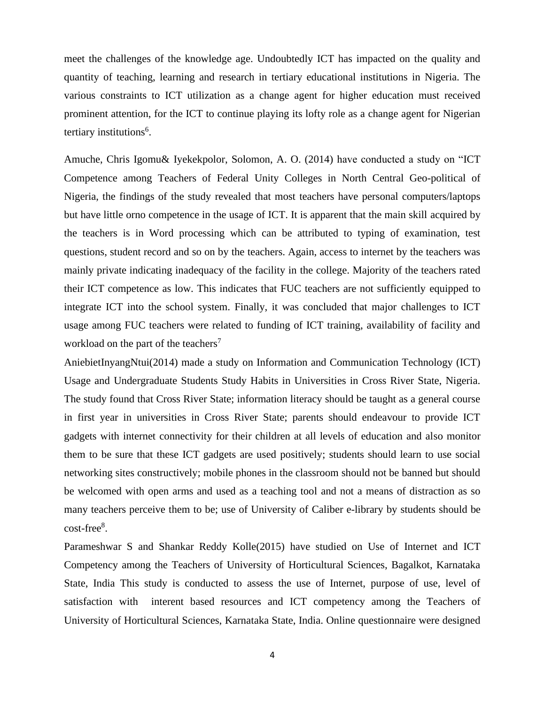meet the challenges of the knowledge age. Undoubtedly ICT has impacted on the quality and quantity of teaching, learning and research in tertiary educational institutions in Nigeria. The various constraints to ICT utilization as a change agent for higher education must received prominent attention, for the ICT to continue playing its lofty role as a change agent for Nigerian tertiary institutions<sup>6</sup>.

Amuche, Chris Igomu& Iyekekpolor, Solomon, A. O. (2014) have conducted a study on "ICT Competence among Teachers of Federal Unity Colleges in North Central Geo-political of Nigeria, the findings of the study revealed that most teachers have personal computers/laptops but have little orno competence in the usage of ICT. It is apparent that the main skill acquired by the teachers is in Word processing which can be attributed to typing of examination, test questions, student record and so on by the teachers. Again, access to internet by the teachers was mainly private indicating inadequacy of the facility in the college. Majority of the teachers rated their ICT competence as low. This indicates that FUC teachers are not sufficiently equipped to integrate ICT into the school system. Finally, it was concluded that major challenges to ICT usage among FUC teachers were related to funding of ICT training, availability of facility and workload on the part of the teachers<sup>7</sup>

AniebietInyangNtui(2014) made a study on Information and Communication Technology (ICT) Usage and Undergraduate Students Study Habits in Universities in Cross River State, Nigeria. The study found that Cross River State; information literacy should be taught as a general course in first year in universities in Cross River State; parents should endeavour to provide ICT gadgets with internet connectivity for their children at all levels of education and also monitor them to be sure that these ICT gadgets are used positively; students should learn to use social networking sites constructively; mobile phones in the classroom should not be banned but should be welcomed with open arms and used as a teaching tool and not a means of distraction as so many teachers perceive them to be; use of University of Caliber e-library by students should be cost-free<sup>8</sup>.

Parameshwar S and Shankar Reddy Kolle(2015) have studied on Use of Internet and ICT Competency among the Teachers of University of Horticultural Sciences, Bagalkot, Karnataka State, India This study is conducted to assess the use of Internet, purpose of use, level of satisfaction with interent based resources and ICT competency among the Teachers of University of Horticultural Sciences, Karnataka State, India. Online questionnaire were designed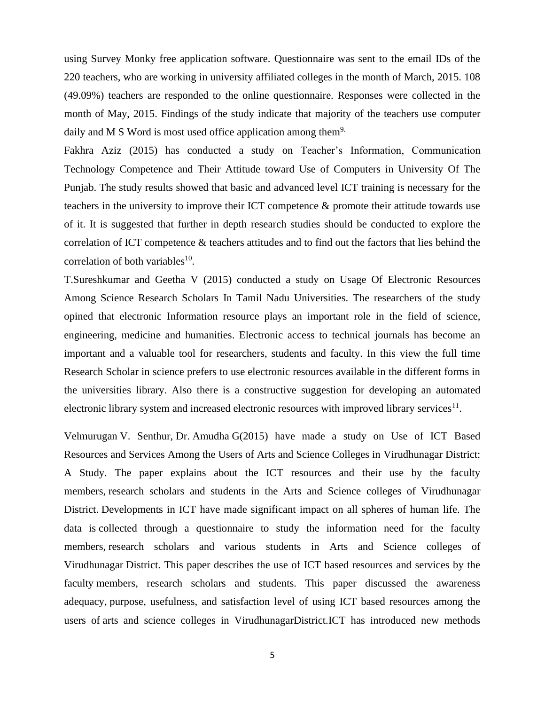using Survey Monky free application software. Questionnaire was sent to the email IDs of the 220 teachers, who are working in university affiliated colleges in the month of March, 2015. 108 (49.09%) teachers are responded to the online questionnaire. Responses were collected in the month of May, 2015. Findings of the study indicate that majority of the teachers use computer daily and M S Word is most used office application among them<sup>9.</sup>

Fakhra Aziz (2015) has conducted a study on Teacher's Information, Communication Technology Competence and Their Attitude toward Use of Computers in University Of The Punjab. The study results showed that basic and advanced level ICT training is necessary for the teachers in the university to improve their ICT competence & promote their attitude towards use of it. It is suggested that further in depth research studies should be conducted to explore the correlation of ICT competence & teachers attitudes and to find out the factors that lies behind the correlation of both variables $^{10}$ .

T.Sureshkumar and Geetha V (2015) conducted a study on Usage Of Electronic Resources Among Science Research Scholars In Tamil Nadu Universities. The researchers of the study opined that electronic Information resource plays an important role in the field of science, engineering, medicine and humanities. Electronic access to technical journals has become an important and a valuable tool for researchers, students and faculty. In this view the full time Research Scholar in science prefers to use electronic resources available in the different forms in the universities library. Also there is a constructive suggestion for developing an automated electronic library system and increased electronic resources with improved library services $^{11}$ .

Velmurugan V. Senthur, Dr. Amudha G(2015) have made a study on Use of ICT Based Resources and Services Among the Users of Arts and Science Colleges in Virudhunagar District: A Study. The paper explains about the ICT resources and their use by the faculty members, research scholars and students in the Arts and Science colleges of Virudhunagar District. Developments in ICT have made significant impact on all spheres of human life. The data is collected through a questionnaire to study the information need for the faculty members, research scholars and various students in Arts and Science colleges of Virudhunagar District. This paper describes the use of ICT based resources and services by the faculty members, research scholars and students. This paper discussed the awareness adequacy, purpose, usefulness, and satisfaction level of using ICT based resources among the users of arts and science colleges in VirudhunagarDistrict.ICT has introduced new methods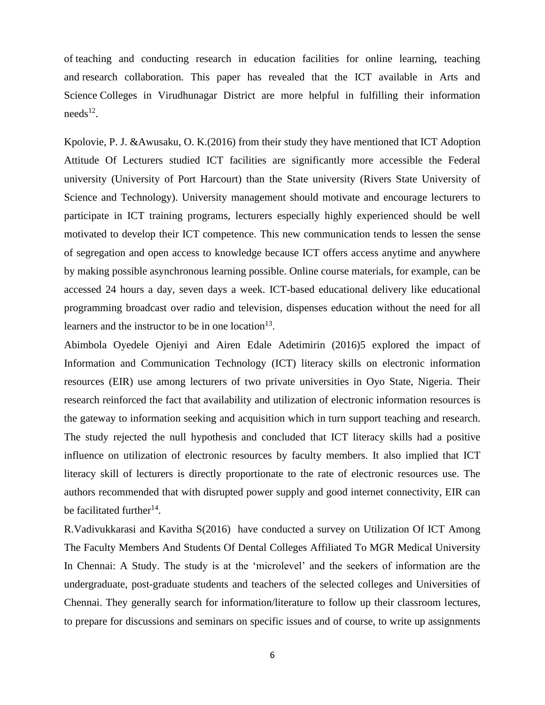of teaching and conducting research in education facilities for online learning, teaching and research collaboration. This paper has revealed that the ICT available in Arts and Science Colleges in Virudhunagar District are more helpful in fulfilling their information  $\text{needs}^{12}$ .

Kpolovie, P. J. &Awusaku, O. K.(2016) from their study they have mentioned that ICT Adoption Attitude Of Lecturers studied ICT facilities are significantly more accessible the Federal university (University of Port Harcourt) than the State university (Rivers State University of Science and Technology). University management should motivate and encourage lecturers to participate in ICT training programs, lecturers especially highly experienced should be well motivated to develop their ICT competence. This new communication tends to lessen the sense of segregation and open access to knowledge because ICT offers access anytime and anywhere by making possible asynchronous learning possible. Online course materials, for example, can be accessed 24 hours a day, seven days a week. ICT-based educational delivery like educational programming broadcast over radio and television, dispenses education without the need for all learners and the instructor to be in one location<sup>13</sup>.

Abimbola Oyedele Ojeniyi and Airen Edale Adetimirin (2016)5 explored the impact of Information and Communication Technology (ICT) literacy skills on electronic information resources (EIR) use among lecturers of two private universities in Oyo State, Nigeria. Their research reinforced the fact that availability and utilization of electronic information resources is the gateway to information seeking and acquisition which in turn support teaching and research. The study rejected the null hypothesis and concluded that ICT literacy skills had a positive influence on utilization of electronic resources by faculty members. It also implied that ICT literacy skill of lecturers is directly proportionate to the rate of electronic resources use. The authors recommended that with disrupted power supply and good internet connectivity, EIR can be facilitated further<sup>14</sup>.

R.Vadivukkarasi and Kavitha S(2016) have conducted a survey on Utilization Of ICT Among The Faculty Members And Students Of Dental Colleges Affiliated To MGR Medical University In Chennai: A Study. The study is at the 'microlevel' and the seekers of information are the undergraduate, post-graduate students and teachers of the selected colleges and Universities of Chennai. They generally search for information/literature to follow up their classroom lectures, to prepare for discussions and seminars on specific issues and of course, to write up assignments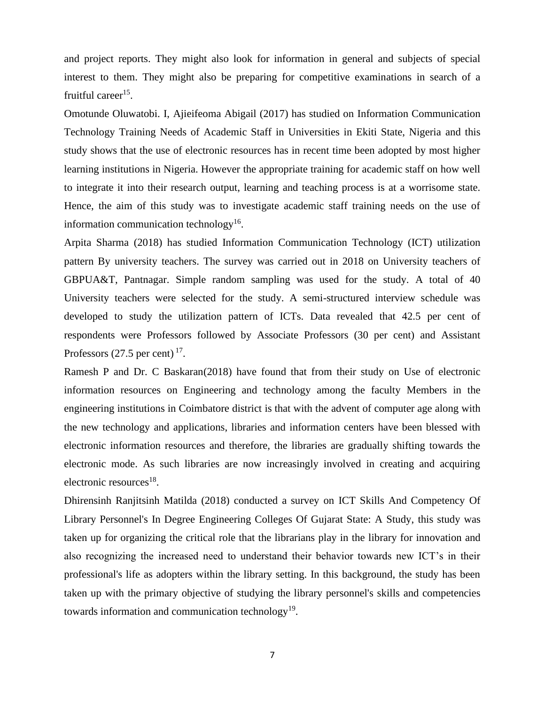and project reports. They might also look for information in general and subjects of special interest to them. They might also be preparing for competitive examinations in search of a fruitful career<sup>15</sup>.

Omotunde Oluwatobi. I, Ajieifeoma Abigail (2017) has studied on Information Communication Technology Training Needs of Academic Staff in Universities in Ekiti State, Nigeria and this study shows that the use of electronic resources has in recent time been adopted by most higher learning institutions in Nigeria. However the appropriate training for academic staff on how well to integrate it into their research output, learning and teaching process is at a worrisome state. Hence, the aim of this study was to investigate academic staff training needs on the use of information communication technology<sup>16</sup>.

Arpita Sharma (2018) has studied Information Communication Technology (ICT) utilization pattern By university teachers. The survey was carried out in 2018 on University teachers of GBPUA&T, Pantnagar. Simple random sampling was used for the study. A total of 40 University teachers were selected for the study. A semi-structured interview schedule was developed to study the utilization pattern of ICTs. Data revealed that 42.5 per cent of respondents were Professors followed by Associate Professors (30 per cent) and Assistant Professors  $(27.5 \text{ per cent})^{17}$ .

Ramesh P and Dr. C Baskaran(2018) have found that from their study on Use of electronic information resources on Engineering and technology among the faculty Members in the engineering institutions in Coimbatore district is that with the advent of computer age along with the new technology and applications, libraries and information centers have been blessed with electronic information resources and therefore, the libraries are gradually shifting towards the electronic mode. As such libraries are now increasingly involved in creating and acquiring electronic resources<sup>18</sup>.

Dhirensinh Ranjitsinh Matilda (2018) conducted a survey on ICT Skills And Competency Of Library Personnel's In Degree Engineering Colleges Of Gujarat State: A Study, this study was taken up for organizing the critical role that the librarians play in the library for innovation and also recognizing the increased need to understand their behavior towards new ICT's in their professional's life as adopters within the library setting. In this background, the study has been taken up with the primary objective of studying the library personnel's skills and competencies towards information and communication technology<sup>19</sup>.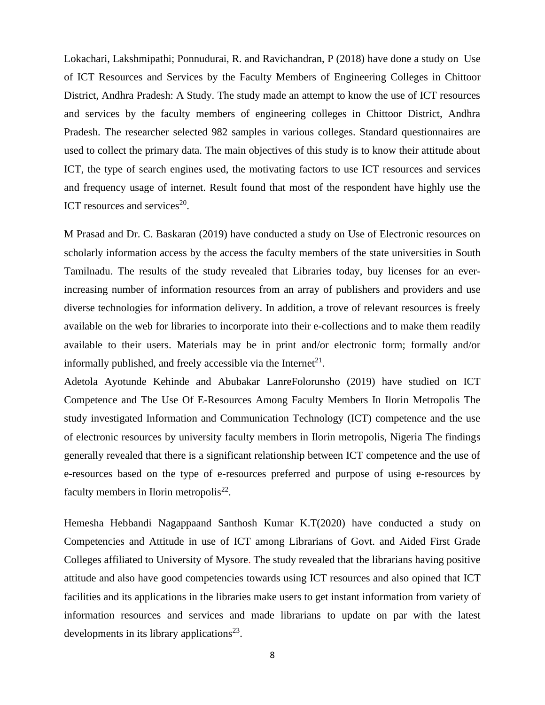Lokachari, Lakshmipathi; Ponnudurai, R. and Ravichandran, P (2018) have done a study on Use of ICT Resources and Services by the Faculty Members of Engineering Colleges in Chittoor District, Andhra Pradesh: A Study. The study made an attempt to know the use of ICT resources and services by the faculty members of engineering colleges in Chittoor District, Andhra Pradesh. The researcher selected 982 samples in various colleges. Standard questionnaires are used to collect the primary data. The main objectives of this study is to know their attitude about ICT, the type of search engines used, the motivating factors to use ICT resources and services and frequency usage of internet. Result found that most of the respondent have highly use the ICT resources and services $20$ .

M Prasad and Dr. C. Baskaran (2019) have conducted a study on Use of Electronic resources on scholarly information access by the access the faculty members of the state universities in South Tamilnadu. The results of the study revealed that Libraries today, buy licenses for an everincreasing number of information resources from an array of publishers and providers and use diverse technologies for information delivery. In addition, a trove of relevant resources is freely available on the web for libraries to incorporate into their e-collections and to make them readily available to their users. Materials may be in print and/or electronic form; formally and/or informally published, and freely accessible via the Internet<sup>21</sup>.

Adetola Ayotunde Kehinde and Abubakar LanreFolorunsho (2019) have studied on ICT Competence and The Use Of E-Resources Among Faculty Members In Ilorin Metropolis The study investigated Information and Communication Technology (ICT) competence and the use of electronic resources by university faculty members in Ilorin metropolis, Nigeria The findings generally revealed that there is a significant relationship between ICT competence and the use of e-resources based on the type of e-resources preferred and purpose of using e-resources by faculty members in Ilorin metropolis $^{22}$ .

Hemesha Hebbandi Nagappaand Santhosh Kumar K.T(2020) have conducted a study on Competencies and Attitude in use of ICT among Librarians of Govt. and Aided First Grade Colleges affiliated to University of Mysore. The study revealed that the librarians having positive attitude and also have good competencies towards using ICT resources and also opined that ICT facilities and its applications in the libraries make users to get instant information from variety of information resources and services and made librarians to update on par with the latest developments in its library applications $^{23}$ .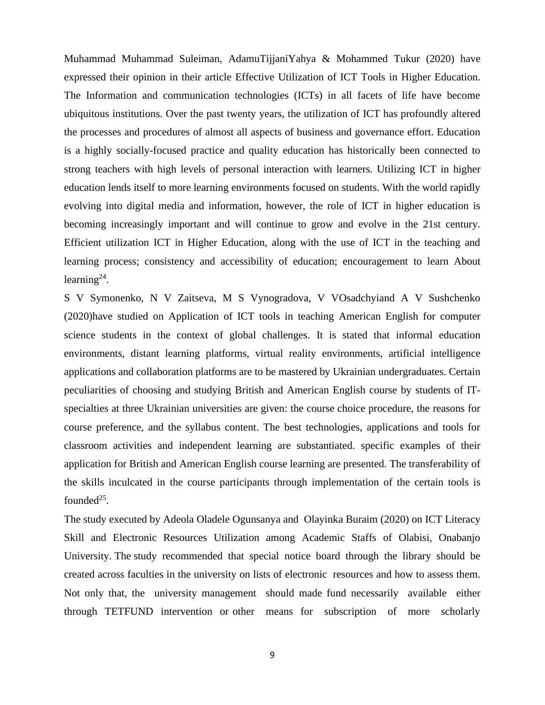Muhammad Muhammad Suleiman, AdamuTijjaniYahya & Mohammed Tukur (2020) have expressed their opinion in their article Effective Utilization of ICT Tools in Higher Education. The Information and communication technologies (ICTs) in all facets of life have become ubiquitous institutions. Over the past twenty years, the utilization of ICT has profoundly altered the processes and procedures of almost all aspects of business and governance effort. Education is a highly socially-focused practice and quality education has historically been connected to strong teachers with high levels of personal interaction with learners. Utilizing ICT in higher education lends itself to more learning environments focused on students. With the world rapidly evolving into digital media and information, however, the role of ICT in higher education is becoming increasingly important and will continue to grow and evolve in the 21st century. Efficient utilization ICT in Higher Education, along with the use of ICT in the teaching and learning process; consistency and accessibility of education; encouragement to learn About learning $^{24}$ .

S V Symonenko, N V Zaitseva, M S Vynogradova, V VOsadchyiand A V Sushchenko (2020)have studied on Application of ICT tools in teaching American English for computer science students in the context of global challenges. It is stated that informal education environments, distant learning platforms, virtual reality environments, artificial intelligence applications and collaboration platforms are to be mastered by Ukrainian undergraduates. Certain peculiarities of choosing and studying British and American English course by students of ITspecialties at three Ukrainian universities are given: the course choice procedure, the reasons for course preference, and the syllabus content. The best technologies, applications and tools for classroom activities and independent learning are substantiated. specific examples of their application for British and American English course learning are presented. The transferability of the skills inculcated in the course participants through implementation of the certain tools is founded $^{25}$ .

The study executed by Adeola Oladele Ogunsanya and Olayinka Buraim (2020) on ICT Literacy Skill and Electronic Resources Utilization among Academic Staffs of Olabisi, Onabanjo University. The study recommended that special notice board through the library should be created across faculties in the university on lists of electronic resources and how to assess them. Not only that, the university management should made fund necessarily available either through TETFUND intervention or other means for subscription of more scholarly

9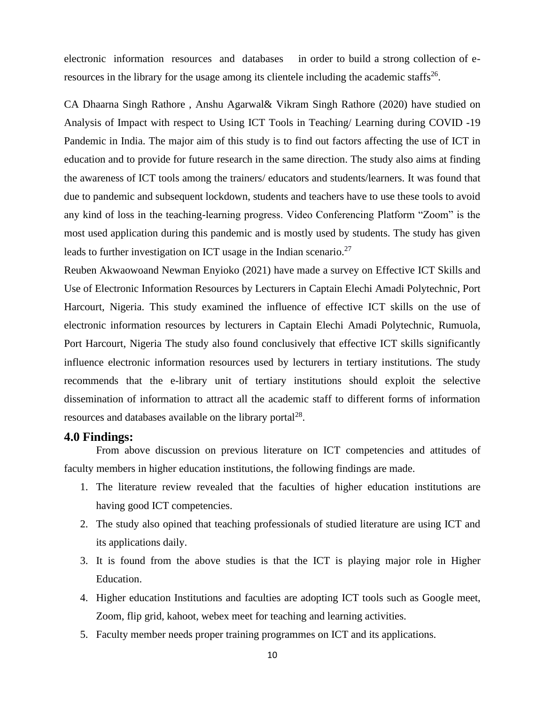electronic information resources and databases in order to build a strong collection of eresources in the library for the usage among its clientele including the academic staffs<sup>26</sup>.

CA Dhaarna Singh Rathore , Anshu Agarwal& Vikram Singh Rathore (2020) have studied on Analysis of Impact with respect to Using ICT Tools in Teaching/ Learning during COVID -19 Pandemic in India. The major aim of this study is to find out factors affecting the use of ICT in education and to provide for future research in the same direction. The study also aims at finding the awareness of ICT tools among the trainers/ educators and students/learners. It was found that due to pandemic and subsequent lockdown, students and teachers have to use these tools to avoid any kind of loss in the teaching-learning progress. Video Conferencing Platform "Zoom" is the most used application during this pandemic and is mostly used by students. The study has given leads to further investigation on ICT usage in the Indian scenario. $27$ 

[Reuben Akwaowoa](https://papers.ssrn.com/sol3/cf_dev/AbsByAuth.cfm?per_id=4790697)nd Newman Enyioko (2021) have made a survey on Effective ICT Skills and Use of Electronic Information Resources by Lecturers in Captain Elechi Amadi Polytechnic, Port Harcourt, Nigeria. This study examined the influence of effective ICT skills on the use of electronic information resources by lecturers in Captain Elechi Amadi Polytechnic, Rumuola, Port Harcourt, Nigeria The study also found conclusively that effective ICT skills significantly influence electronic information resources used by lecturers in tertiary institutions. The study recommends that the e-library unit of tertiary institutions should exploit the selective dissemination of information to attract all the academic staff to different forms of information resources and databases available on the library portal $^{28}$ .

#### **4.0 Findings:**

From above discussion on previous literature on ICT competencies and attitudes of faculty members in higher education institutions, the following findings are made.

- 1. The literature review revealed that the faculties of higher education institutions are having good ICT competencies.
- 2. The study also opined that teaching professionals of studied literature are using ICT and its applications daily.
- 3. It is found from the above studies is that the ICT is playing major role in Higher Education.
- 4. Higher education Institutions and faculties are adopting ICT tools such as Google meet, Zoom, flip grid, kahoot, webex meet for teaching and learning activities.
- 5. Faculty member needs proper training programmes on ICT and its applications.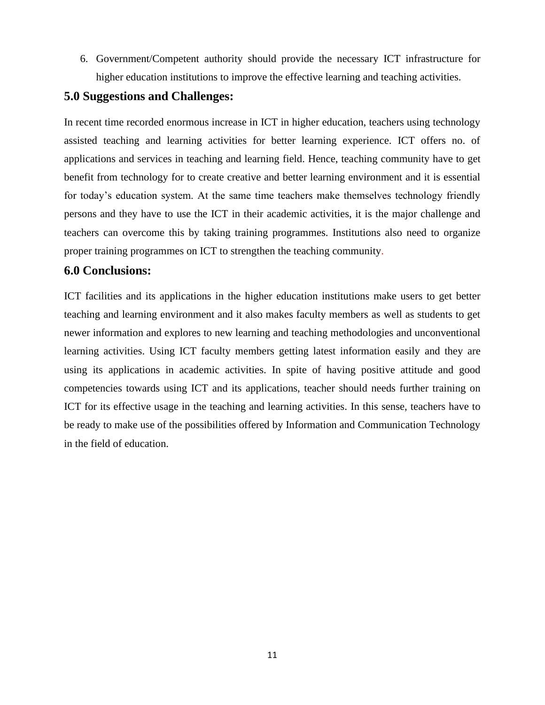6. Government/Competent authority should provide the necessary ICT infrastructure for higher education institutions to improve the effective learning and teaching activities.

## **5.0 Suggestions and Challenges:**

In recent time recorded enormous increase in ICT in higher education, teachers using technology assisted teaching and learning activities for better learning experience. ICT offers no. of applications and services in teaching and learning field. Hence, teaching community have to get benefit from technology for to create creative and better learning environment and it is essential for today's education system. At the same time teachers make themselves technology friendly persons and they have to use the ICT in their academic activities, it is the major challenge and teachers can overcome this by taking training programmes. Institutions also need to organize proper training programmes on ICT to strengthen the teaching community.

### **6.0 Conclusions:**

ICT facilities and its applications in the higher education institutions make users to get better teaching and learning environment and it also makes faculty members as well as students to get newer information and explores to new learning and teaching methodologies and unconventional learning activities. Using ICT faculty members getting latest information easily and they are using its applications in academic activities. In spite of having positive attitude and good competencies towards using ICT and its applications, teacher should needs further training on ICT for its effective usage in the teaching and learning activities. In this sense, teachers have to be ready to make use of the possibilities offered by Information and Communication Technology in the field of education.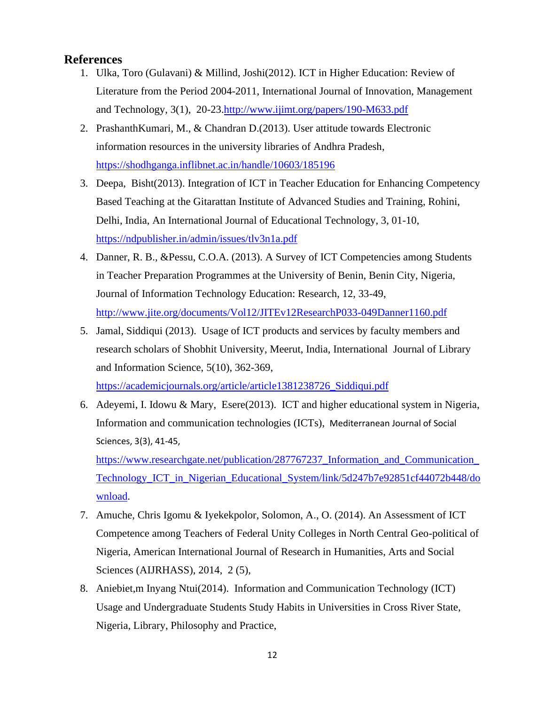#### **References**

- 1. Ulka, Toro (Gulavani) & Millind, Joshi(2012). ICT in Higher Education: Review of Literature from the Period 2004-2011, International Journal of Innovation, Management and Technology, 3(1), 20-23[.http://www.ijimt.org/papers/190-M633.pdf](http://www.ijimt.org/papers/190-M633.pdf)
- 2. PrashanthKumari, M., & Chandran D.(2013). User attitude towards Electronic information resources in the university libraries of Andhra Pradesh, <https://shodhganga.inflibnet.ac.in/handle/10603/185196>
- 3. Deepa, Bisht(2013). Integration of ICT in Teacher Education for Enhancing Competency Based Teaching at the Gitarattan Institute of Advanced Studies and Training, Rohini, Delhi, India, An International Journal of Educational Technology, 3, 01-10, <https://ndpublisher.in/admin/issues/tlv3n1a.pdf>
- 4. Danner, R. B., &Pessu, C.O.A. (2013). A Survey of ICT Competencies among Students in Teacher Preparation Programmes at the University of Benin, Benin City, Nigeria, Journal of Information Technology Education: Research, 12, 33-49, <http://www.jite.org/documents/Vol12/JITEv12ResearchP033-049Danner1160.pdf>
- 5. Jamal, Siddiqui (2013). Usage of ICT products and services by faculty members and research scholars of Shobhit University, Meerut, India, International Journal of Library and Information Science, 5(10), 362-369,

[https://academicjournals.org/article/article1381238726\\_Siddiqui.pdf](https://academicjournals.org/article/article1381238726_Siddiqui.pdf)

6. Adeyemi, I. Idowu & Mary, Esere(2013). ICT and higher educational system in Nigeria, Information and communication technologies (ICTs), Mediterranean Journal of Social Sciences, 3(3), 41-45,

[https://www.researchgate.net/publication/287767237\\_Information\\_and\\_Communication\\_](https://www.researchgate.net/publication/287767237_Information_and_Communication_Technology_ICT_in_Nigerian_Educational_System/link/5d247b7e92851cf44072b448/download) [Technology\\_ICT\\_in\\_Nigerian\\_Educational\\_System/link/5d247b7e92851cf44072b448/do](https://www.researchgate.net/publication/287767237_Information_and_Communication_Technology_ICT_in_Nigerian_Educational_System/link/5d247b7e92851cf44072b448/download) [wnload.](https://www.researchgate.net/publication/287767237_Information_and_Communication_Technology_ICT_in_Nigerian_Educational_System/link/5d247b7e92851cf44072b448/download)

- 7. Amuche, Chris Igomu & Iyekekpolor, Solomon, A., O. (2014). An Assessment of ICT Competence among Teachers of Federal Unity Colleges in North Central Geo-political of Nigeria, American International Journal of Research in Humanities, Arts and Social Sciences (AIJRHASS), 2014, 2 (5),
- 8. Aniebiet,m Inyang Ntui(2014). Information and Communication Technology (ICT) Usage and Undergraduate Students Study Habits in Universities in Cross River State, Nigeria, Library, Philosophy and Practice,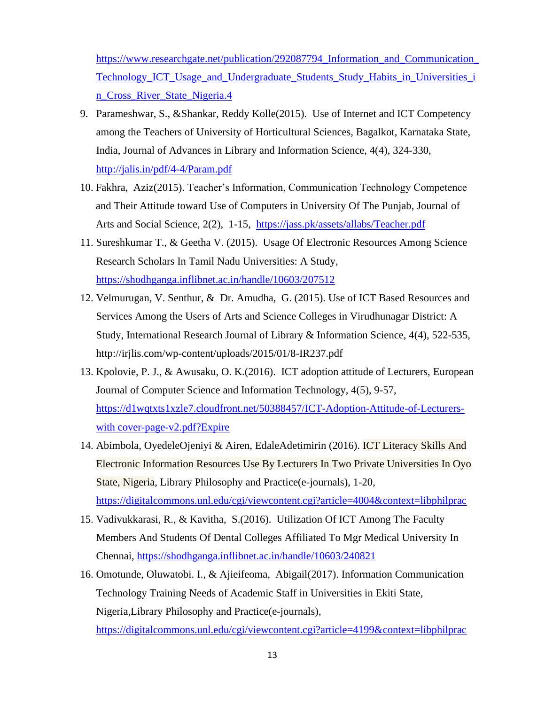[https://www.researchgate.net/publication/292087794\\_Information\\_and\\_Communication\\_](https://www.researchgate.net/publication/292087794_Information_and_Communication_Technology_ICT_Usage_and_Undergraduate_Students_Study_Habits_in_Universities_in_Cross_River_State_Nigeria.4) [Technology\\_ICT\\_Usage\\_and\\_Undergraduate\\_Students\\_Study\\_Habits\\_in\\_Universities\\_i](https://www.researchgate.net/publication/292087794_Information_and_Communication_Technology_ICT_Usage_and_Undergraduate_Students_Study_Habits_in_Universities_in_Cross_River_State_Nigeria.4) [n\\_Cross\\_River\\_State\\_Nigeria.4](https://www.researchgate.net/publication/292087794_Information_and_Communication_Technology_ICT_Usage_and_Undergraduate_Students_Study_Habits_in_Universities_in_Cross_River_State_Nigeria.4)

- 9. Parameshwar, S., &Shankar, Reddy Kolle(2015). Use of Internet and ICT Competency among the Teachers of University of Horticultural Sciences, Bagalkot, Karnataka State, India, Journal of Advances in Library and Information Science, 4(4), 324-330, <http://jalis.in/pdf/4-4/Param.pdf>
- 10. Fakhra, Aziz(2015). Teacher's Information, Communication Technology Competence and Their Attitude toward Use of Computers in University Of The Punjab, Journal of Arts and Social Science, 2(2), 1-15, <https://jass.pk/assets/allabs/Teacher.pdf>
- 11. Sureshkumar T., & Geetha V. (2015). Usage Of Electronic Resources Among Science Research Scholars In Tamil Nadu Universities: A Study, <https://shodhganga.inflibnet.ac.in/handle/10603/207512>
- 12. Velmurugan, V. Senthur, & Dr. Amudha, G. (2015). Use of ICT Based Resources and Services Among the Users of Arts and Science Colleges in Virudhunagar District: A Study, International Research Journal of Library & Information Science, 4(4), 522-535, http://irjlis.com/wp-content/uploads/2015/01/8-IR237.pdf
- 13. Kpolovie, P. J., & Awusaku, O. K.(2016). ICT adoption attitude of Lecturers, European Journal of Computer Science and Information Technology, 4(5), 9-57, [https://d1wqtxts1xzle7.cloudfront.net/50388457/ICT-Adoption-Attitude-of-Lecturers](https://d1wqtxts1xzle7.cloudfront.net/50388457/ICT-Adoption-Attitude-of-Lecturers-with%20cover-page-v2.pdf?Expire)[with cover-page-v2.pdf?Expire](https://d1wqtxts1xzle7.cloudfront.net/50388457/ICT-Adoption-Attitude-of-Lecturers-with%20cover-page-v2.pdf?Expire)
- 14. Abimbola, OyedeleOjeniyi & Airen, EdaleAdetimirin (2016). ICT [Literacy](https://digitalcommons.unl.edu/cgi/viewcontent.cgi?article=4004&context=libphilprac) Skills And Electronic Information Resources Use By Lecturers In Two Private [Universities](https://digitalcommons.unl.edu/cgi/viewcontent.cgi?article=4004&context=libphilprac) In Oyo State, [Nigeria,](https://digitalcommons.unl.edu/cgi/viewcontent.cgi?article=4004&context=libphilprac) Library Philosophy and Practice(e-journals), 1-20, <https://digitalcommons.unl.edu/cgi/viewcontent.cgi?article=4004&context=libphilprac>
- 15. Vadivukkarasi, R., & Kavitha, S.(2016). Utilization Of ICT Among The Faculty Members And Students Of Dental Colleges Affiliated To Mgr Medical University In Chennai,<https://shodhganga.inflibnet.ac.in/handle/10603/240821>
- 16. Omotunde, Oluwatobi. I., & Ajieifeoma, Abigail(2017). Information Communication Technology Training Needs of Academic Staff in Universities in Ekiti State, Nigeria,Library Philosophy and Practice(e-journals),

<https://digitalcommons.unl.edu/cgi/viewcontent.cgi?article=4199&context=libphilprac>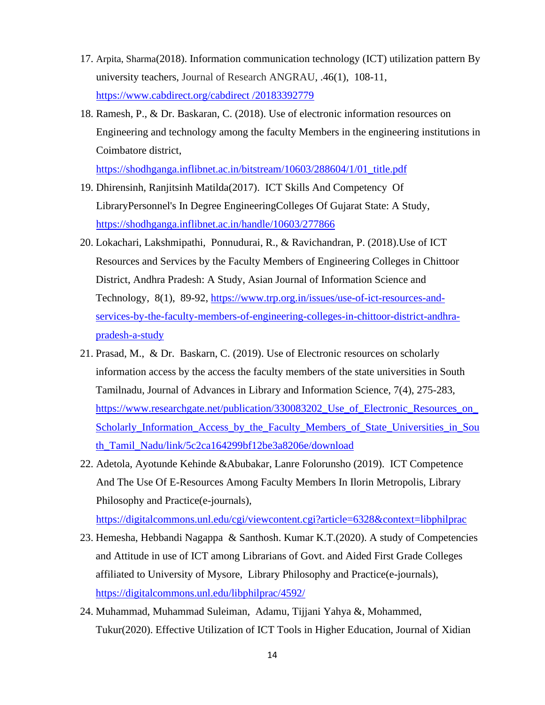- 17. Arpita, Sharma(2018). Information communication technology (ICT) utilization pattern By university teachers, [Journal of Research ANGRAU,](https://www.cabdirect.org/cabdirect/search/?q=do%3a%22Journal+of+Research+ANGRAU%22) .46(1), 108-11, [https://www.cabdirect.org/cabdirect /20183392779](https://www.cabdirect.org/cabdirect%20/20183392779)
- 18. Ramesh, P., & Dr. Baskaran, C. (2018). Use of electronic information resources on Engineering and technology among the faculty Members in the engineering institutions in Coimbatore district,

[https://shodhganga.inflibnet.ac.in/bitstream/10603/288604/1/01\\_title.pdf](https://shodhganga.inflibnet.ac.in/bitstream/10603/288604/1/01_title.pdf)

- 19. Dhirensinh, Ranjitsinh Matilda(2017). ICT Skills And Competency Of LibraryPersonnel's In Degree EngineeringColleges Of Gujarat State: A Study, <https://shodhganga.inflibnet.ac.in/handle/10603/277866>
- 20. Lokachari, Lakshmipathi, Ponnudurai, R., & Ravichandran, P. (2018).Use of ICT Resources and Services by the Faculty Members of Engineering Colleges in Chittoor District, Andhra Pradesh: A Study, Asian Journal of Information Science and Technology, 8(1), 89-92, [https://www.trp.org.in/issues/use-of-ict-resources-and](https://www.trp.org.in/issues/use-of-ict-resources-and-services-by-the-faculty-members-of-engineering-colleges-in-chittoor-district-andhra-pradesh-a-study)[services-by-the-faculty-members-of-engineering-colleges-in-chittoor-district-andhra](https://www.trp.org.in/issues/use-of-ict-resources-and-services-by-the-faculty-members-of-engineering-colleges-in-chittoor-district-andhra-pradesh-a-study)[pradesh-a-study](https://www.trp.org.in/issues/use-of-ict-resources-and-services-by-the-faculty-members-of-engineering-colleges-in-chittoor-district-andhra-pradesh-a-study)
- 21. Prasad, M., & Dr. Baskarn, C. (2019). Use of Electronic resources on scholarly information access by the access the faculty members of the state universities in South Tamilnadu, Journal of Advances in Library and Information Science, 7(4), 275-283, [https://www.researchgate.net/publication/330083202\\_Use\\_of\\_Electronic\\_Resources\\_on\\_](https://www.researchgate.net/publication/330083202_Use_of_Electronic_Resources_on_Scholarly_Information_Access_by_the_Faculty_Members_of_State_Universities_in_South_Tamil_Nadu/link/5c2ca164299bf12be3a8206e/download) Scholarly Information Access by the Faculty Members of State Universities in Sou [th\\_Tamil\\_Nadu/link/5c2ca164299bf12be3a8206e/download](https://www.researchgate.net/publication/330083202_Use_of_Electronic_Resources_on_Scholarly_Information_Access_by_the_Faculty_Members_of_State_Universities_in_South_Tamil_Nadu/link/5c2ca164299bf12be3a8206e/download)
- 22. Adetola, Ayotunde Kehinde &Abubakar, Lanre Folorunsho (2019). ICT Competence And The Use Of E-Resources Among Faculty Members In Ilorin Metropolis, Library Philosophy and Practice(e-journals),

<https://digitalcommons.unl.edu/cgi/viewcontent.cgi?article=6328&context=libphilprac>

- 23. Hemesha, Hebbandi Nagappa & Santhosh. Kumar K.T.(2020). A study of Competencies and Attitude in use of ICT among Librarians of Govt. and Aided First Grade Colleges affiliated to University of Mysore, Library Philosophy and Practice(e-journals), <https://digitalcommons.unl.edu/libphilprac/4592/>
- 24. Muhammad, Muhammad Suleiman, Adamu, Tijjani Yahya &, Mohammed, Tukur(2020). Effective Utilization of ICT Tools in Higher Education, Journal of Xidian